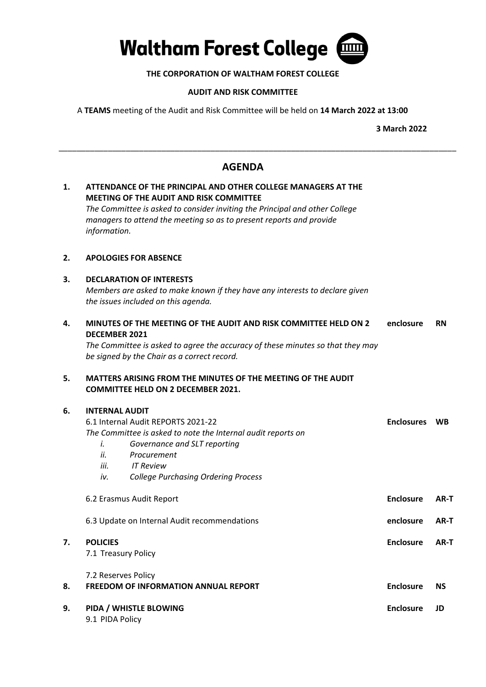

# **THE CORPORATION OF WALTHAM FOREST COLLEGE**

## **AUDIT AND RISK COMMITTEE**

A **TEAMS** meeting of the Audit and Risk Committee will be held on **14 March 2022 at 13:00** 

**3 March 2022** 

# **AGENDA**

\_\_\_\_\_\_\_\_\_\_\_\_\_\_\_\_\_\_\_\_\_\_\_\_\_\_\_\_\_\_\_\_\_\_\_\_\_\_\_\_\_\_\_\_\_\_\_\_\_\_\_\_\_\_\_\_\_\_\_\_\_\_\_\_\_\_\_\_\_\_\_\_\_\_\_\_\_\_\_\_\_\_\_\_\_\_\_\_\_

| 1. | ATTENDANCE OF THE PRINCIPAL AND OTHER COLLEGE MANAGERS AT THE<br><b>MEETING OF THE AUDIT AND RISK COMMITTEE</b> |                                                                                                                                                    |                   |           |
|----|-----------------------------------------------------------------------------------------------------------------|----------------------------------------------------------------------------------------------------------------------------------------------------|-------------------|-----------|
|    |                                                                                                                 | The Committee is asked to consider inviting the Principal and other College<br>managers to attend the meeting so as to present reports and provide |                   |           |
|    | information.                                                                                                    |                                                                                                                                                    |                   |           |
| 2. | <b>APOLOGIES FOR ABSENCE</b>                                                                                    |                                                                                                                                                    |                   |           |
| З. | <b>DECLARATION OF INTERESTS</b>                                                                                 |                                                                                                                                                    |                   |           |
|    | Members are asked to make known if they have any interests to declare given                                     |                                                                                                                                                    |                   |           |
|    |                                                                                                                 | the issues included on this agenda.                                                                                                                |                   |           |
| 4. | MINUTES OF THE MEETING OF THE AUDIT AND RISK COMMITTEE HELD ON 2<br><b>DECEMBER 2021</b>                        |                                                                                                                                                    | enclosure         | <b>RN</b> |
|    | The Committee is asked to agree the accuracy of these minutes so that they may                                  |                                                                                                                                                    |                   |           |
|    |                                                                                                                 | be signed by the Chair as a correct record.                                                                                                        |                   |           |
| 5. | MATTERS ARISING FROM THE MINUTES OF THE MEETING OF THE AUDIT                                                    |                                                                                                                                                    |                   |           |
|    |                                                                                                                 | <b>COMMITTEE HELD ON 2 DECEMBER 2021.</b>                                                                                                          |                   |           |
| 6. | <b>INTERNAL AUDIT</b>                                                                                           |                                                                                                                                                    |                   |           |
|    | 6.1 Internal Audit REPORTS 2021-22                                                                              |                                                                                                                                                    | <b>Enclosures</b> | <b>WB</b> |
|    | The Committee is asked to note the Internal audit reports on                                                    |                                                                                                                                                    |                   |           |
|    | i.                                                                                                              | Governance and SLT reporting                                                                                                                       |                   |           |
|    | ii.                                                                                                             | Procurement                                                                                                                                        |                   |           |
|    | iii.                                                                                                            | <b>IT Review</b>                                                                                                                                   |                   |           |
|    | iv.                                                                                                             | <b>College Purchasing Ordering Process</b>                                                                                                         |                   |           |
|    | 6.2 Erasmus Audit Report                                                                                        |                                                                                                                                                    | <b>Enclosure</b>  | AR-T      |
|    | 6.3 Update on Internal Audit recommendations                                                                    |                                                                                                                                                    | enclosure         | AR-T      |
| 7. | <b>POLICIES</b>                                                                                                 |                                                                                                                                                    | <b>Enclosure</b>  | AR-T      |
|    | 7.1 Treasury Policy                                                                                             |                                                                                                                                                    |                   |           |
|    | 7.2 Reserves Policy                                                                                             |                                                                                                                                                    |                   |           |
| 8. |                                                                                                                 | <b>FREEDOM OF INFORMATION ANNUAL REPORT</b>                                                                                                        | <b>Enclosure</b>  | <b>NS</b> |
| 9. | PIDA / WHISTLE BLOWING                                                                                          |                                                                                                                                                    | <b>Enclosure</b>  | JD        |
|    | 9.1 PIDA Policy                                                                                                 |                                                                                                                                                    |                   |           |